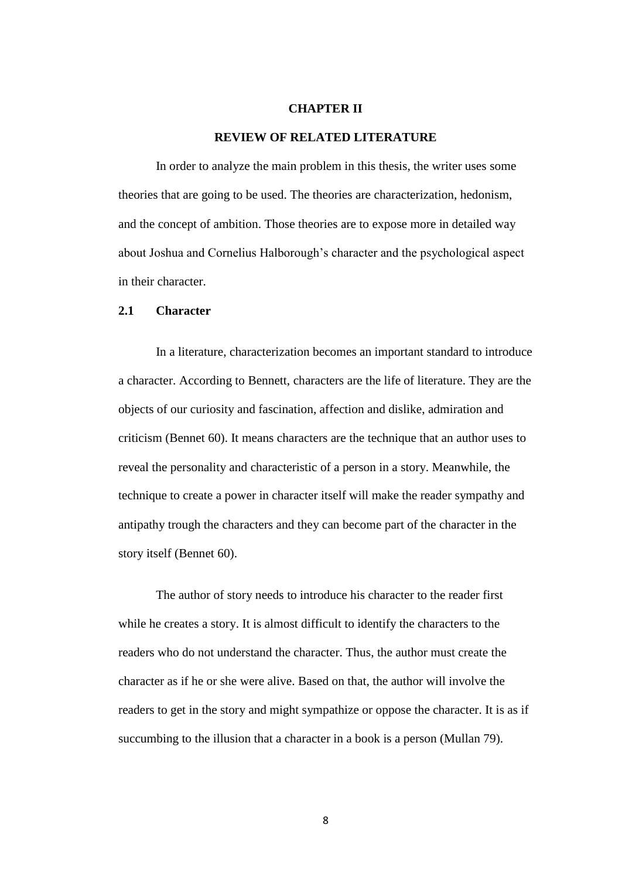## **CHAPTER II**

### **REVIEW OF RELATED LITERATURE**

In order to analyze the main problem in this thesis, the writer uses some theories that are going to be used. The theories are characterization, hedonism, and the concept of ambition. Those theories are to expose more in detailed way about Joshua and Cornelius Halborough"s character and the psychological aspect in their character.

## **2.1 Character**

In a literature, characterization becomes an important standard to introduce a character. According to Bennett, characters are the life of literature. They are the objects of our curiosity and fascination, affection and dislike, admiration and criticism (Bennet 60). It means characters are the technique that an author uses to reveal the personality and characteristic of a person in a story. Meanwhile, the technique to create a power in character itself will make the reader sympathy and antipathy trough the characters and they can become part of the character in the story itself (Bennet 60).

The author of story needs to introduce his character to the reader first while he creates a story. It is almost difficult to identify the characters to the readers who do not understand the character. Thus, the author must create the character as if he or she were alive. Based on that, the author will involve the readers to get in the story and might sympathize or oppose the character. It is as if succumbing to the illusion that a character in a book is a person (Mullan 79).

8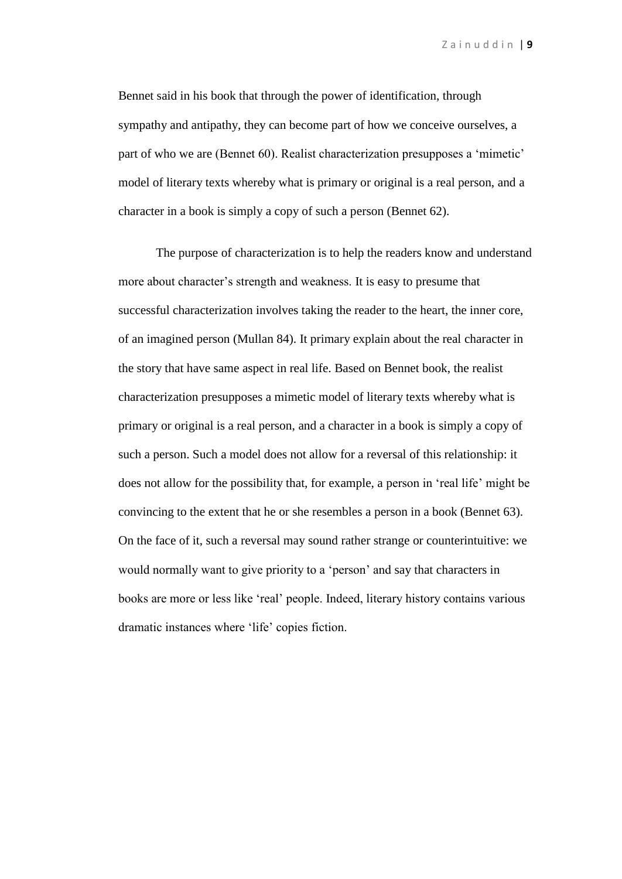Z a i n u d d i n | **9**

Bennet said in his book that through the power of identification, through sympathy and antipathy, they can become part of how we conceive ourselves, a part of who we are (Bennet 60). Realist characterization presupposes a 'mimetic' model of literary texts whereby what is primary or original is a real person, and a character in a book is simply a copy of such a person (Bennet 62).

The purpose of characterization is to help the readers know and understand more about character's strength and weakness. It is easy to presume that successful characterization involves taking the reader to the heart, the inner core, of an imagined person (Mullan 84). It primary explain about the real character in the story that have same aspect in real life. Based on Bennet book, the realist characterization presupposes a mimetic model of literary texts whereby what is primary or original is a real person, and a character in a book is simply a copy of such a person. Such a model does not allow for a reversal of this relationship: it does not allow for the possibility that, for example, a person in "real life" might be convincing to the extent that he or she resembles a person in a book (Bennet 63). On the face of it, such a reversal may sound rather strange or counterintuitive: we would normally want to give priority to a "person" and say that characters in books are more or less like "real" people. Indeed, literary history contains various dramatic instances where "life" copies fiction.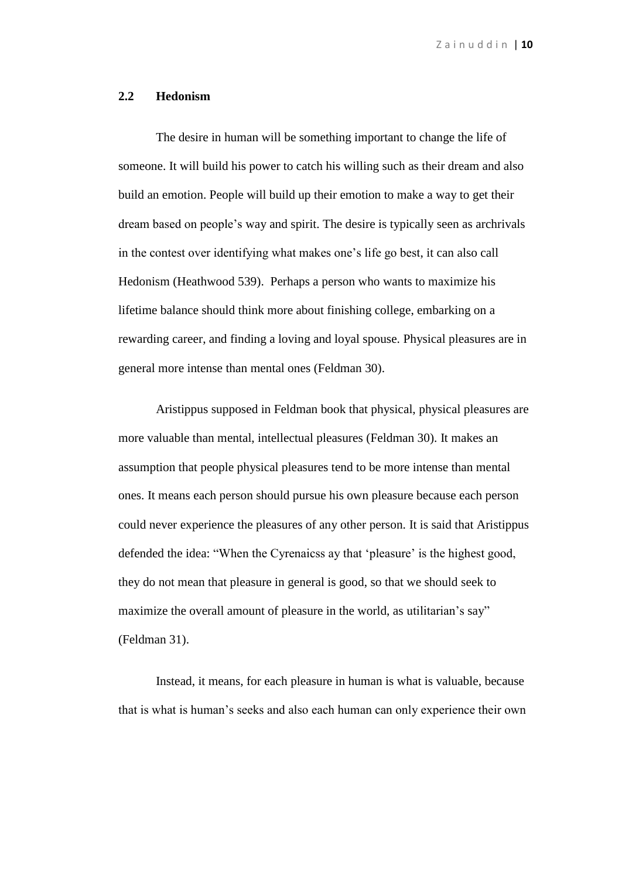Z a i n u d d i n | **10**

#### **2.2 Hedonism**

The desire in human will be something important to change the life of someone. It will build his power to catch his willing such as their dream and also build an emotion. People will build up their emotion to make a way to get their dream based on people"s way and spirit. The desire is typically seen as archrivals in the contest over identifying what makes one"s life go best, it can also call Hedonism (Heathwood 539). Perhaps a person who wants to maximize his lifetime balance should think more about finishing college, embarking on a rewarding career, and finding a loving and loyal spouse. Physical pleasures are in general more intense than mental ones (Feldman 30).

Aristippus supposed in Feldman book that physical, physical pleasures are more valuable than mental, intellectual pleasures (Feldman 30). It makes an assumption that people physical pleasures tend to be more intense than mental ones. It means each person should pursue his own pleasure because each person could never experience the pleasures of any other person. It is said that Aristippus defended the idea: "When the Cyrenaicss ay that 'pleasure' is the highest good, they do not mean that pleasure in general is good, so that we should seek to maximize the overall amount of pleasure in the world, as utilitarian's say" (Feldman 31).

Instead, it means, for each pleasure in human is what is valuable*,* because that is what is human"s seeks and also each human can only experience their own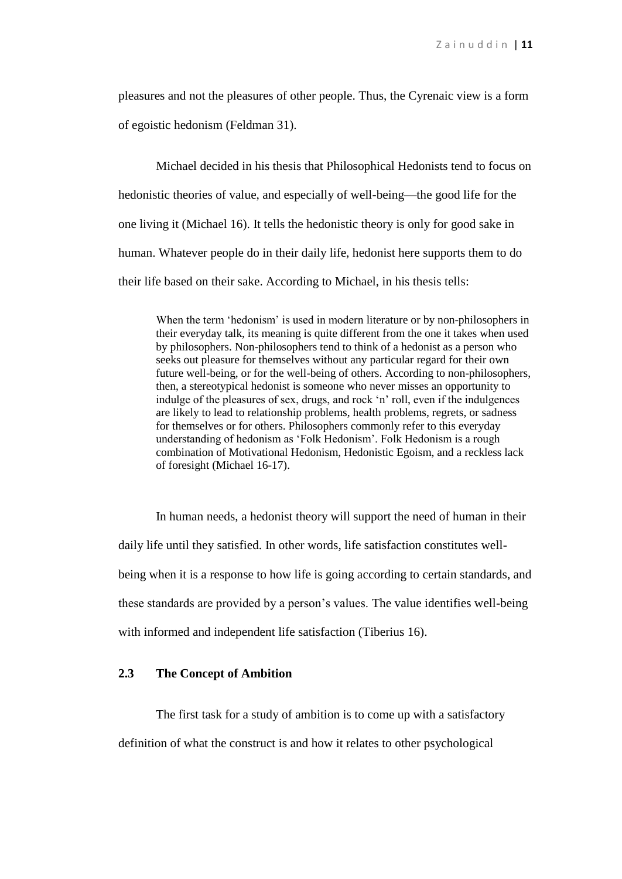pleasures and not the pleasures of other people. Thus, the Cyrenaic view is a form of egoistic hedonism (Feldman 31).

Michael decided in his thesis that Philosophical Hedonists tend to focus on hedonistic theories of value, and especially of well-being—the good life for the one living it (Michael 16). It tells the hedonistic theory is only for good sake in human. Whatever people do in their daily life, hedonist here supports them to do their life based on their sake. According to Michael, in his thesis tells:

When the term 'hedonism' is used in modern literature or by non-philosophers in their everyday talk, its meaning is quite different from the one it takes when used by philosophers. Non-philosophers tend to think of a hedonist as a person who seeks out pleasure for themselves without any particular regard for their own future well-being, or for the well-being of others. According to non-philosophers, then, a stereotypical hedonist is someone who never misses an opportunity to indulge of the pleasures of sex, drugs, and rock "n" roll, even if the indulgences are likely to lead to relationship problems, health problems, regrets, or sadness for themselves or for others. Philosophers commonly refer to this everyday understanding of hedonism as "Folk Hedonism". Folk Hedonism is a rough combination of Motivational Hedonism, Hedonistic Egoism, and a reckless lack of foresight (Michael 16-17).

In human needs, a hedonist theory will support the need of human in their daily life until they satisfied. In other words, life satisfaction constitutes wellbeing when it is a response to how life is going according to certain standards, and these standards are provided by a person"s values. The value identifies well-being with informed and independent life satisfaction (Tiberius 16).

# **2.3 The Concept of Ambition**

The first task for a study of ambition is to come up with a satisfactory definition of what the construct is and how it relates to other psychological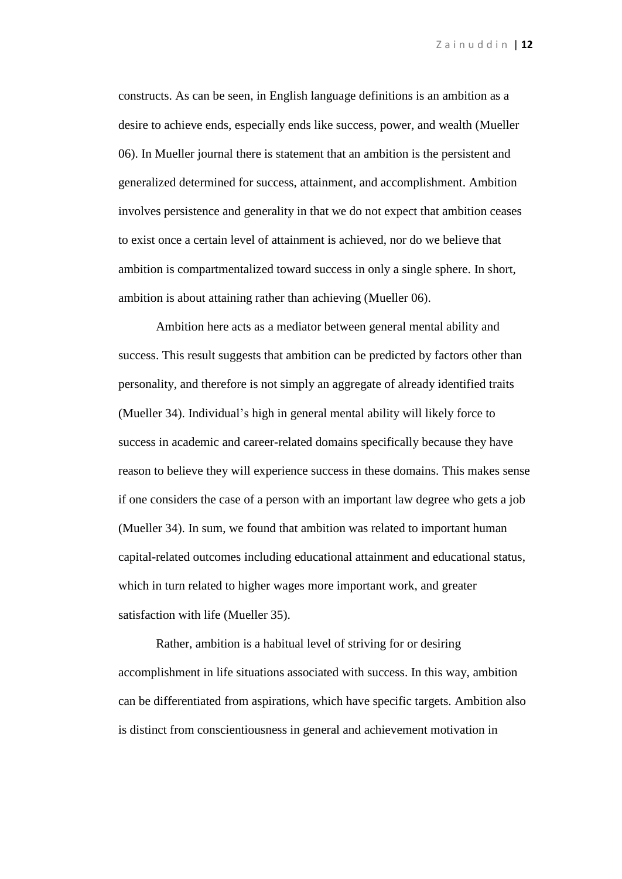constructs. As can be seen, in English language definitions is an ambition as a desire to achieve ends, especially ends like success, power, and wealth (Mueller 06). In Mueller journal there is statement that an ambition is the persistent and generalized determined for success, attainment, and accomplishment. Ambition involves persistence and generality in that we do not expect that ambition ceases to exist once a certain level of attainment is achieved, nor do we believe that ambition is compartmentalized toward success in only a single sphere. In short, ambition is about attaining rather than achieving (Mueller 06).

Ambition here acts as a mediator between general mental ability and success. This result suggests that ambition can be predicted by factors other than personality, and therefore is not simply an aggregate of already identified traits (Mueller 34). Individual"s high in general mental ability will likely force to success in academic and career-related domains specifically because they have reason to believe they will experience success in these domains. This makes sense if one considers the case of a person with an important law degree who gets a job (Mueller 34). In sum, we found that ambition was related to important human capital-related outcomes including educational attainment and educational status, which in turn related to higher wages more important work, and greater satisfaction with life (Mueller 35).

Rather, ambition is a habitual level of striving for or desiring accomplishment in life situations associated with success. In this way, ambition can be differentiated from aspirations, which have specific targets. Ambition also is distinct from conscientiousness in general and achievement motivation in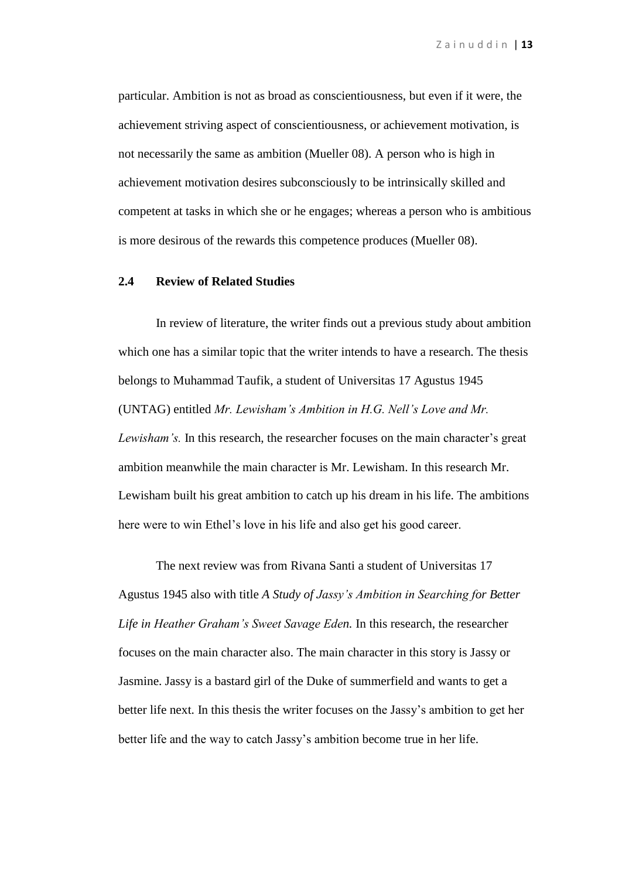particular. Ambition is not as broad as conscientiousness, but even if it were, the achievement striving aspect of conscientiousness, or achievement motivation, is not necessarily the same as ambition (Mueller 08). A person who is high in achievement motivation desires subconsciously to be intrinsically skilled and competent at tasks in which she or he engages; whereas a person who is ambitious is more desirous of the rewards this competence produces (Mueller 08).

# **2.4 Review of Related Studies**

In review of literature, the writer finds out a previous study about ambition which one has a similar topic that the writer intends to have a research. The thesis belongs to Muhammad Taufik, a student of Universitas 17 Agustus 1945 (UNTAG) entitled *Mr. Lewisham's Ambition in H.G. Nell's Love and Mr. Lewisham's.* In this research, the researcher focuses on the main character's great ambition meanwhile the main character is Mr. Lewisham. In this research Mr. Lewisham built his great ambition to catch up his dream in his life. The ambitions here were to win Ethel"s love in his life and also get his good career.

The next review was from Rivana Santi a student of Universitas 17 Agustus 1945 also with title *A Study of Jassy's Ambition in Searching for Better Life in Heather Graham's Sweet Savage Eden.* In this research, the researcher focuses on the main character also. The main character in this story is Jassy or Jasmine. Jassy is a bastard girl of the Duke of summerfield and wants to get a better life next. In this thesis the writer focuses on the Jassy"s ambition to get her better life and the way to catch Jassy"s ambition become true in her life.